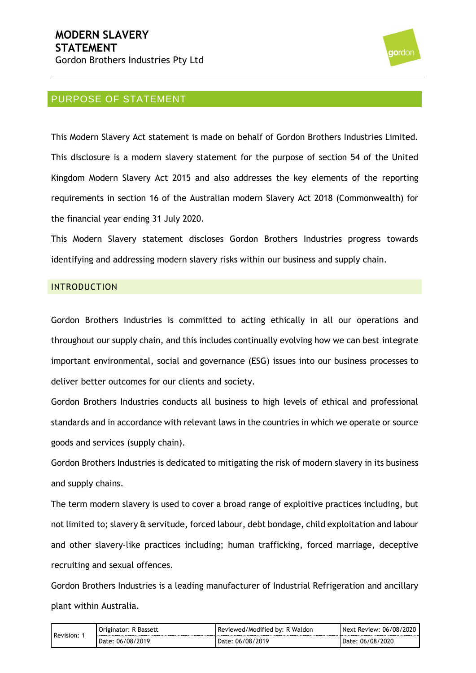

# PURPOSE OF STATEMENT

This Modern Slavery Act statement is made on behalf of Gordon Brothers Industries Limited. This disclosure is a modern slavery statement for the purpose of section 54 of the United Kingdom Modern Slavery Act 2015 and also addresses the key elements of the reporting requirements in section 16 of the Australian modern Slavery Act 2018 (Commonwealth) for the financial year ending 31 July 2020.

This Modern Slavery statement discloses Gordon Brothers Industries progress towards identifying and addressing modern slavery risks within our business and supply chain.

## INTRODUCTION

Gordon Brothers Industries is committed to acting ethically in all our operations and throughout our supply chain, and this includes continually evolving how we can best integrate important environmental, social and governance (ESG) issues into our business processes to deliver better outcomes for our clients and society.

Gordon Brothers Industries conducts all business to high levels of ethical and professional standards and in accordance with relevant laws in the countries in which we operate or source goods and services (supply chain).

Gordon Brothers Industries is dedicated to mitigating the risk of modern slavery in its business and supply chains.

The term modern slavery is used to cover a broad range of exploitive practices including, but not limited to; slavery & servitude, forced labour, debt bondage, child exploitation and labour and other slavery-like practices including; human trafficking, forced marriage, deceptive recruiting and sexual offences.

Gordon Brothers Industries is a leading manufacturer of Industrial Refrigeration and ancillary plant within Australia.

| Revision: | Originator: R Bassett | Reviewed/Modified by: R Waldon | Next Review: 06/08/2020 |
|-----------|-----------------------|--------------------------------|-------------------------|
|           | Date: 06/08/2019      | Date: 06/08/2019               | Date: 06/08/2020        |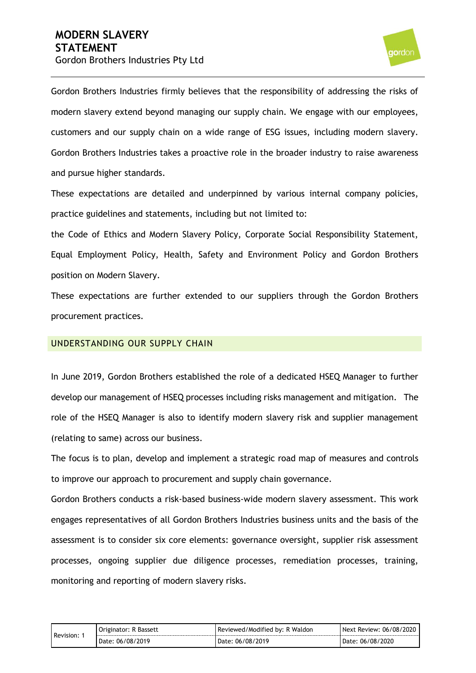

Gordon Brothers Industries firmly believes that the responsibility of addressing the risks of modern slavery extend beyond managing our supply chain. We engage with our employees, customers and our supply chain on a wide range of ESG issues, including modern slavery. Gordon Brothers Industries takes a proactive role in the broader industry to raise awareness and pursue higher standards.

These expectations are detailed and underpinned by various internal company policies, practice guidelines and statements, including but not limited to:

the Code of Ethics and Modern Slavery Policy, Corporate Social Responsibility Statement, Equal Employment Policy, Health, Safety and Environment Policy and Gordon Brothers position on Modern Slavery.

These expectations are further extended to our suppliers through the Gordon Brothers procurement practices.

#### UNDERSTANDING OUR SUPPLY CHAIN

In June 2019, Gordon Brothers established the role of a dedicated HSEQ Manager to further develop our management of HSEQ processes including risks management and mitigation. The role of the HSEQ Manager is also to identify modern slavery risk and supplier management (relating to same) across our business.

The focus is to plan, develop and implement a strategic road map of measures and controls to improve our approach to procurement and supply chain governance.

Gordon Brothers conducts a risk-based business-wide modern slavery assessment. This work engages representatives of all Gordon Brothers Industries business units and the basis of the assessment is to consider six core elements: governance oversight, supplier risk assessment processes, ongoing supplier due diligence processes, remediation processes, training, monitoring and reporting of modern slavery risks.

| Revision: | Originator: R Bassett | Reviewed/Modified by: R Waldon | Next Review: 06/08/2020 |
|-----------|-----------------------|--------------------------------|-------------------------|
|           | Date: 06/08/2019      | Date: 06/08/2019               | Date: 06/08/2020        |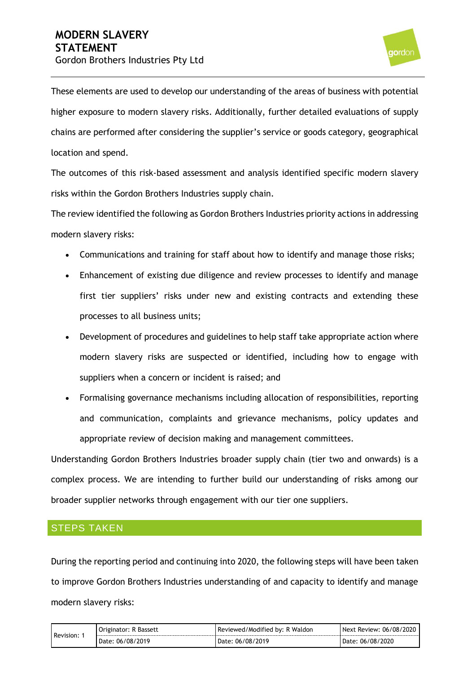

These elements are used to develop our understanding of the areas of business with potential higher exposure to modern slavery risks. Additionally, further detailed evaluations of supply chains are performed after considering the supplier's service or goods category, geographical location and spend.

The outcomes of this risk-based assessment and analysis identified specific modern slavery risks within the Gordon Brothers Industries supply chain.

The review identified the following as Gordon Brothers Industries priority actions in addressing modern slavery risks:

- Communications and training for staff about how to identify and manage those risks;
- Enhancement of existing due diligence and review processes to identify and manage first tier suppliers' risks under new and existing contracts and extending these processes to all business units;
- Development of procedures and guidelines to help staff take appropriate action where modern slavery risks are suspected or identified, including how to engage with suppliers when a concern or incident is raised; and
- Formalising governance mechanisms including allocation of responsibilities, reporting and communication, complaints and grievance mechanisms, policy updates and appropriate review of decision making and management committees.

Understanding Gordon Brothers Industries broader supply chain (tier two and onwards) is a complex process. We are intending to further build our understanding of risks among our broader supplier networks through engagement with our tier one suppliers.

# STEPS TAKEN

During the reporting period and continuing into 2020, the following steps will have been taken to improve Gordon Brothers Industries understanding of and capacity to identify and manage modern slavery risks:

| Revision: | Bassett<br>Originator:   | Reviewed/Modified by: R Waldon | 06/08/2020<br><b>Next</b><br>Review: |
|-----------|--------------------------|--------------------------------|--------------------------------------|
|           | /2019<br>06/08/<br>Date: | .06/08/2019<br>Date.           | 06/08/2020<br>Date:                  |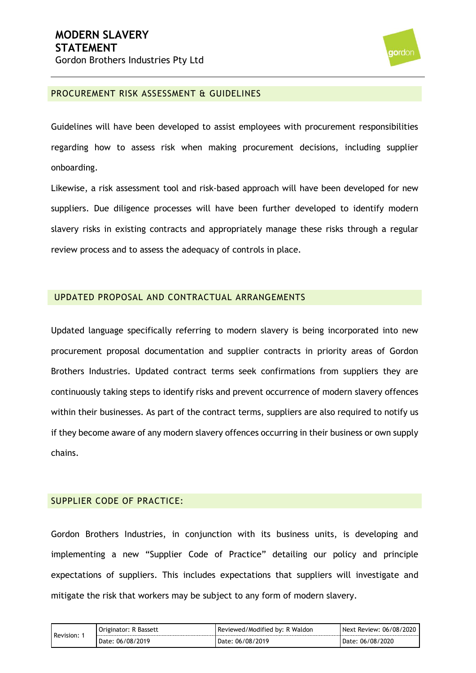

#### PROCUREMENT RISK ASSESSMENT & GUIDELINES

Guidelines will have been developed to assist employees with procurement responsibilities regarding how to assess risk when making procurement decisions, including supplier onboarding.

Likewise, a risk assessment tool and risk-based approach will have been developed for new suppliers. Due diligence processes will have been further developed to identify modern slavery risks in existing contracts and appropriately manage these risks through a regular review process and to assess the adequacy of controls in place.

#### UPDATED PROPOSAL AND CONTRACTUAL ARRANGEMENTS

Updated language specifically referring to modern slavery is being incorporated into new procurement proposal documentation and supplier contracts in priority areas of Gordon Brothers Industries. Updated contract terms seek confirmations from suppliers they are continuously taking steps to identify risks and prevent occurrence of modern slavery offences within their businesses. As part of the contract terms, suppliers are also required to notify us if they become aware of any modern slavery offences occurring in their business or own supply chains.

#### SUPPLIER CODE OF PRACTICE:

Gordon Brothers Industries, in conjunction with its business units, is developing and implementing a new "Supplier Code of Practice" detailing our policy and principle expectations of suppliers. This includes expectations that suppliers will investigate and mitigate the risk that workers may be subject to any form of modern slavery.

| Revision: | Originator: R Bassett | Reviewed/Modified by: R Waldon | Next Review: 06/08/2020 |
|-----------|-----------------------|--------------------------------|-------------------------|
|           | Date: 06/08/2019      | Date: 06/08/2019               | Date: 06/08/2020        |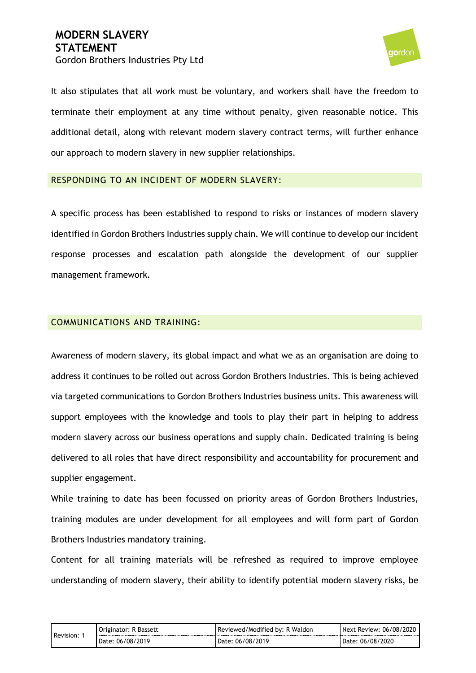

It also stipulates that all work must be voluntary, and workers shall have the freedom to terminate their employment at any time without penalty, given reasonable notice. This additional detail, along with relevant modern slavery contract terms, will further enhance our approach to modern slavery in new supplier relationships.

## RESPONDING TO AN INCIDENT OF MODERN SLAVERY:

A specific process has been established to respond to risks or instances of modern slavery identified in Gordon Brothers Industries supply chain. We will continue to develop our incident response processes and escalation path alongside the development of our supplier management framework.

## COMMUNICATIONS AND TRAINING:

Awareness of modern slavery, its global impact and what we as an organisation are doing to address it continues to be rolled out across Gordon Brothers Industries. This is being achieved via targeted communications to Gordon Brothers Industries business units. This awareness will support employees with the knowledge and tools to play their part in helping to address modern slavery across our business operations and supply chain. Dedicated training is being delivered to all roles that have direct responsibility and accountability for procurement and supplier engagement.

While training to date has been focussed on priority areas of Gordon Brothers Industries, training modules are under development for all employees and will form part of Gordon Brothers Industries mandatory training.

Content for all training materials will be refreshed as required to improve employee understanding of modern slavery, their ability to identify potential modern slavery risks, be

| Revision: | Bassett<br>Originator: | Reviewed/Modified by: R Waldon | * Review: 06/08/2020<br><b>Next</b> |
|-----------|------------------------|--------------------------------|-------------------------------------|
|           | Date: 06/08/2019       | : 06/08/2019<br>Date:          | 06/08/2020<br>Date:                 |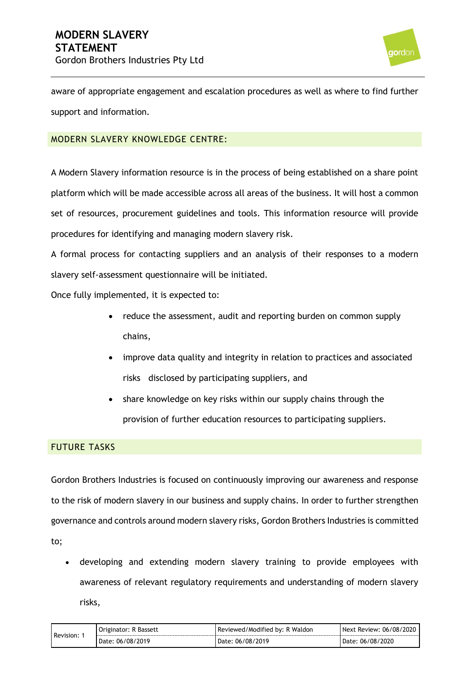

aware of appropriate engagement and escalation procedures as well as where to find further support and information.

# MODERN SLAVERY KNOWLEDGE CENTRE:

A Modern Slavery information resource is in the process of being established on a share point platform which will be made accessible across all areas of the business. It will host a common set of resources, procurement guidelines and tools. This information resource will provide procedures for identifying and managing modern slavery risk.

A formal process for contacting suppliers and an analysis of their responses to a modern slavery self-assessment questionnaire will be initiated.

Once fully implemented, it is expected to:

- reduce the assessment, audit and reporting burden on common supply chains,
- improve data quality and integrity in relation to practices and associated risks disclosed by participating suppliers, and
- share knowledge on key risks within our supply chains through the provision of further education resources to participating suppliers.

## FUTURE TASKS

Gordon Brothers Industries is focused on continuously improving our awareness and response to the risk of modern slavery in our business and supply chains. In order to further strengthen governance and controls around modern slavery risks, Gordon Brothers Industries is committed to;

• developing and extending modern slavery training to provide employees with awareness of relevant regulatory requirements and understanding of modern slavery risks,

| Revision: | Originator: R Bassett | Reviewed/Modified by: R Waldon | Next Review: 06/08/2020 |
|-----------|-----------------------|--------------------------------|-------------------------|
|           | Date: 06/08/2019      | Date: 06/08/2019               | Date: 06/08/2020        |